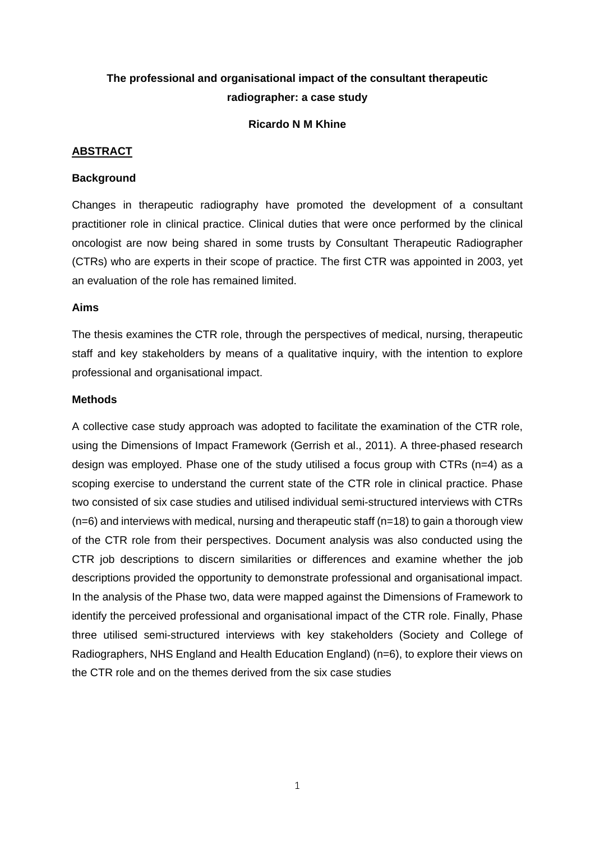# **The professional and organisational impact of the consultant therapeutic radiographer: a case study**

#### **Ricardo N M Khine**

#### **ABSTRACT**

#### **Background**

Changes in therapeutic radiography have promoted the development of a consultant practitioner role in clinical practice. Clinical duties that were once performed by the clinical oncologist are now being shared in some trusts by Consultant Therapeutic Radiographer (CTRs) who are experts in their scope of practice. The first CTR was appointed in 2003, yet an evaluation of the role has remained limited.

#### **Aims**

The thesis examines the CTR role, through the perspectives of medical, nursing, therapeutic staff and key stakeholders by means of a qualitative inquiry, with the intention to explore professional and organisational impact.

### **Methods**

A collective case study approach was adopted to facilitate the examination of the CTR role, using the Dimensions of Impact Framework (Gerrish et al., 2011). A three-phased research design was employed. Phase one of the study utilised a focus group with CTRs (n=4) as a scoping exercise to understand the current state of the CTR role in clinical practice. Phase two consisted of six case studies and utilised individual semi-structured interviews with CTRs  $(n=6)$  and interviews with medical, nursing and therapeutic staff  $(n=18)$  to gain a thorough view of the CTR role from their perspectives. Document analysis was also conducted using the CTR job descriptions to discern similarities or differences and examine whether the job descriptions provided the opportunity to demonstrate professional and organisational impact. In the analysis of the Phase two, data were mapped against the Dimensions of Framework to identify the perceived professional and organisational impact of the CTR role. Finally, Phase three utilised semi-structured interviews with key stakeholders (Society and College of Radiographers, NHS England and Health Education England) (n=6), to explore their views on the CTR role and on the themes derived from the six case studies